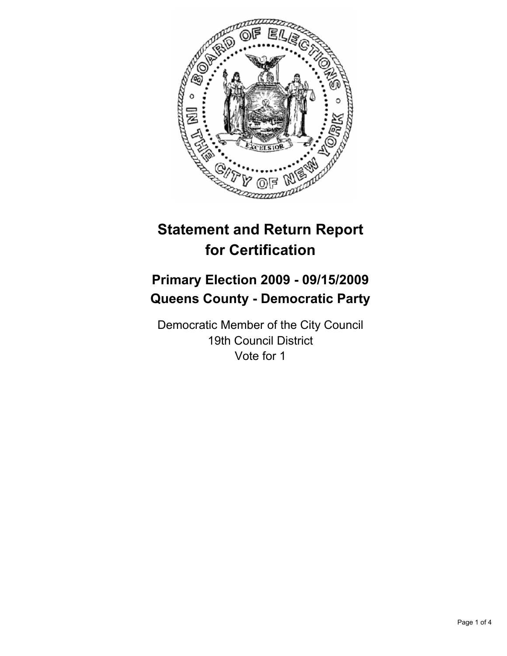

# **Statement and Return Report for Certification**

# **Primary Election 2009 - 09/15/2009 Queens County - Democratic Party**

Democratic Member of the City Council 19th Council District Vote for 1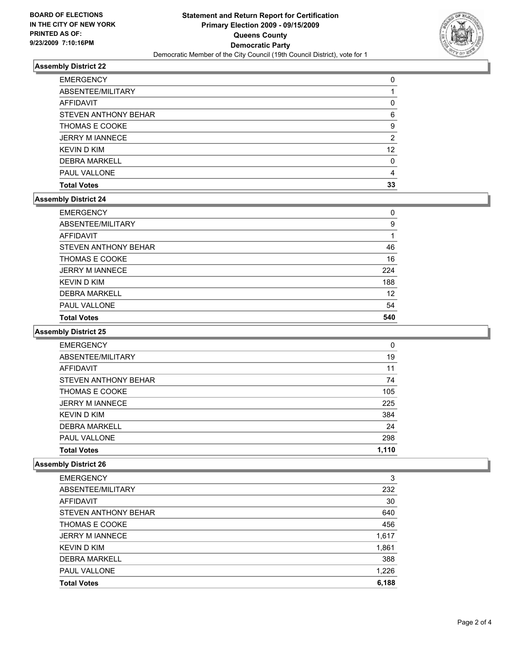

## **Assembly District 22**

| <b>Total Votes</b>     | 33 |
|------------------------|----|
| <b>PAUL VALLONE</b>    | 4  |
| <b>DEBRA MARKELL</b>   | 0  |
| <b>KEVIN D KIM</b>     | 12 |
| <b>JERRY M IANNECE</b> | 2  |
| <b>THOMAS E COOKE</b>  | 9  |
| STEVEN ANTHONY BEHAR   | 6  |
| <b>AFFIDAVIT</b>       | 0  |
| ABSENTEE/MILITARY      |    |
| <b>EMERGENCY</b>       | 0  |

#### **Assembly District 24**

| <b>Total Votes</b>     | 540 |
|------------------------|-----|
| <b>PAUL VALLONE</b>    | 54  |
| <b>DEBRA MARKELL</b>   | 12  |
| <b>KEVIND KIM</b>      | 188 |
| <b>JERRY M IANNECE</b> | 224 |
| <b>THOMAS E COOKE</b>  | 16  |
| STEVEN ANTHONY BEHAR   | 46  |
| AFFIDAVIT              |     |
| ABSENTEE/MILITARY      | 9   |
| <b>EMERGENCY</b>       | 0   |

#### **Assembly District 25**

| <b>EMERGENCY</b>       | 0     |
|------------------------|-------|
| ABSENTEE/MILITARY      | 19    |
| <b>AFFIDAVIT</b>       | 11    |
| STEVEN ANTHONY BEHAR   | 74    |
| THOMAS E COOKE         | 105   |
| <b>JERRY M IANNECE</b> | 225   |
| <b>KEVIND KIM</b>      | 384   |
| <b>DEBRA MARKELL</b>   | 24    |
| <b>PAUL VALLONE</b>    | 298   |
| <b>Total Votes</b>     | 1,110 |
|                        |       |

### **Assembly District 26**

| <b>EMERGENCY</b>       | 3     |
|------------------------|-------|
| ABSENTEE/MILITARY      | 232   |
| AFFIDAVIT              | 30    |
| STEVEN ANTHONY BEHAR   | 640   |
| THOMAS E COOKE         | 456   |
| <b>JERRY M IANNECE</b> | 1,617 |
| <b>KEVIND KIM</b>      | 1,861 |
| <b>DEBRA MARKELL</b>   | 388   |
| <b>PAUL VALLONE</b>    | 1,226 |
| <b>Total Votes</b>     | 6,188 |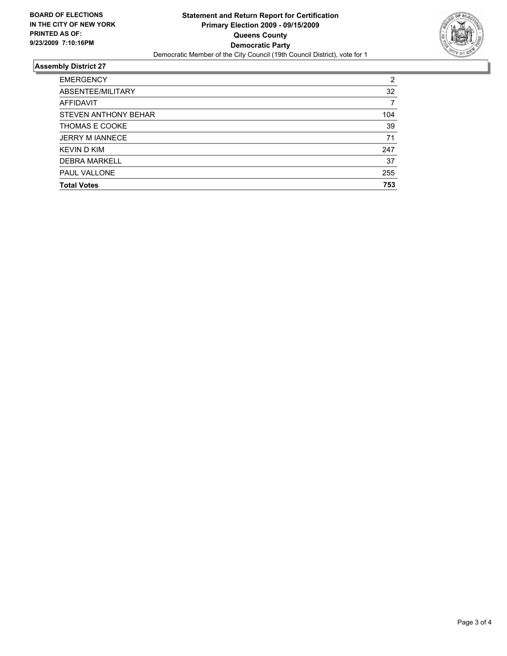

### **Assembly District 27**

| <b>EMERGENCY</b>       | 2   |
|------------------------|-----|
| ABSENTEE/MILITARY      | 32  |
| <b>AFFIDAVIT</b>       |     |
| STEVEN ANTHONY BEHAR   | 104 |
| THOMAS E COOKE         | 39  |
| <b>JERRY M JANNECE</b> | 71  |
| <b>KEVIND KIM</b>      | 247 |
| <b>DEBRA MARKELL</b>   | 37  |
| <b>PAUL VALLONE</b>    | 255 |
| <b>Total Votes</b>     | 753 |